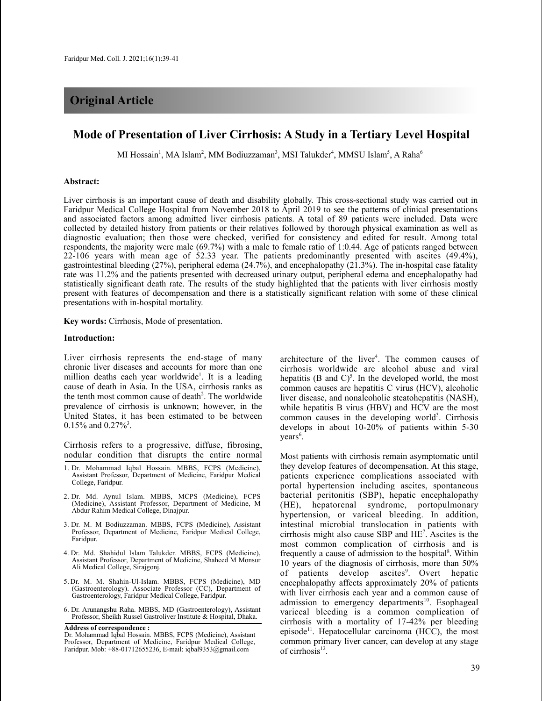# **Original Article**

# **Mode of Presentation of Liver Cirrhosis: A Study in a Tertiary Level Hospital**

MI Hossain<sup>1</sup>, MA Islam<sup>2</sup>, MM Bodiuzzaman<sup>3</sup>, MSI Talukder<sup>4</sup>, MMSU Islam<sup>5</sup>, A Raha<sup>6</sup>

## **Abstract:**

Liver cirrhosis is an important cause of death and disability globally. This cross-sectional study was carried out in Faridpur Medical College Hospital from November 2018 to April 2019 to see the patterns of clinical presentations and associated factors among admitted liver cirrhosis patients. A total of 89 patients were included. Data were collected by detailed history from patients or their relatives followed by thorough physical examination as well as diagnostic evaluation; then those were checked, verified for consistency and edited for result. Among total respondents, the majority were male (69.7%) with a male to female ratio of 1:0.44. Age of patients ranged between 22-106 years with mean age of 52.33 year. The patients predominantly presented with ascites (49.4%), gastrointestinal bleeding (27%), peripheral edema (24.7%), and encephalopathy (21.3%). The in-hospital case fatality rate was 11.2% and the patients presented with decreased urinary output, peripheral edema and encephalopathy had statistically significant death rate. The results of the study highlighted that the patients with liver cirrhosis mostly present with features of decompensation and there is a statistically significant relation with some of these clinical presentations with in-hospital mortality.

**Key words:** Cirrhosis, Mode of presentation.

### **Introduction:**

Liver cirrhosis represents the end-stage of many chronic liver diseases and accounts for more than one million deaths each year worldwide<sup>1</sup>. It is a leading cause of death in Asia. In the USA, cirrhosis ranks as the tenth most common cause of death<sup>2</sup>. The worldwide prevalence of cirrhosis is unknown; however, in the United States, it has been estimated to be between  $0.15\%$  and  $0.27\%$ <sup>3</sup>.

Cirrhosis refers to a progressive, diffuse, fibrosing, nodular condition that disrupts the entire normal

- 1. Dr. Mohammad Iqbal Hossain. MBBS, FCPS (Medicine), Assistant Professor, Department of Medicine, Faridpur Medical College, Faridpur.
- 2. Dr. Md. Aynul Islam. MBBS, MCPS (Medicine), FCPS (Medicine), Assistant Professor, Department of Medicine, M Abdur Rahim Medical College, Dinajpur.
- 3. Dr. M. M Bodiuzzaman. MBBS, FCPS (Medicine), Assistant Professor, Department of Medicine, Faridpur Medical College, Faridpur.
- 4. Dr. Md. Shahidul Islam Talukder. MBBS, FCPS (Medicine), Assistant Professor, Department of Medicine, Shaheed M Monsur Ali Medical College, Sirajgonj.
- 5. Dr. M. M. Shahin-Ul-Islam. MBBS, FCPS (Medicine), MD (Gastroenterology). Associate Professor (CC), Department of Gastroenterology, Faridpur Medical College, Faridpur.
- 6. Dr. Arunangshu Raha. MBBS, MD (Gastroenterology), Assistant Professor, Sheikh Russel Gastroliver Institute & Hospital, Dhaka.

**Address of correspondence :** Dr. Mohammad Iqbal Hossain. MBBS, FCPS (Medicine), Assistant Professor, Department of Medicine, Faridpur Medical College, Faridpur. Mob: +88-01712655236, E-mail: iqbal9353@gmail.com

architecture of the liver 4 . The common causes of cirrhosis worldwide are alcohol abuse and viral hepatitis (B and  $C$ )<sup>5</sup>. In the developed world, the most common causes are hepatitis C virus (HCV), alcoholic liver disease, and nonalcoholic steatohepatitis (NASH), while hepatitis B virus (HBV) and HCV are the most common causes in the developing world<sup>3</sup>. Cirrhosis develops in about 10-20% of patients within 5-30 years 6 .

Most patients with cirrhosis remain asymptomatic until they develop features of decompensation. At this stage, patients experience complications associated with portal hypertension including ascites, spontaneous bacterial peritonitis (SBP), hepatic encephalopathy (HE), hepatorenal syndrome, portopulmonary hypertension, or variceal bleeding. In addition, intestinal microbial translocation in patients with cirrhosis might also cause SBP and HE7 . Ascites is the most common complication of cirrhosis and is frequently a cause of admission to the hospital<sup>8</sup>. Within 10 years of the diagnosis of cirrhosis, more than 50% of patients develop ascites<sup>9</sup>. Overt hepatic encephalopathy affects approximately 20% of patients with liver cirrhosis each year and a common cause of admission to emergency departments<sup>10</sup>. Esophageal variceal bleeding is a common complication of cirrhosis with a mortality of 17-42% per bleeding episode<sup>11</sup>. Hepatocellular carcinoma (HCC), the most common primary liver cancer, can develop at any stage of cirrhosis<sup>12</sup>.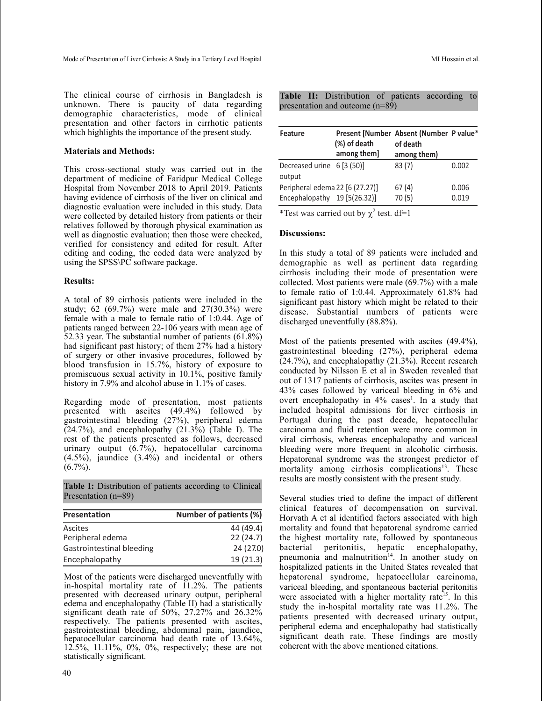The clinical course of cirrhosis in Bangladesh is unknown. There is paucity of data regarding demographic characteristics, mode of clinical presentation and other factors in cirrhotic patients which highlights the importance of the present study.

## **Materials and Methods:**

This cross-sectional study was carried out in the department of medicine of Faridpur Medical College Hospital from November 2018 to April 2019. Patients having evidence of cirrhosis of the liver on clinical and diagnostic evaluation were included in this study. Data were collected by detailed history from patients or their relatives followed by thorough physical examination as well as diagnostic evaluation; then those were checked, verified for consistency and edited for result. After editing and coding, the coded data were analyzed by using the SPSS\PC software package.

## **Results:**

A total of 89 cirrhosis patients were included in the study; 62 (69.7%) were male and 27(30.3%) were female with a male to female ratio of 1:0.44. Age of patients ranged between 22-106 years with mean age of 52.33 year. The substantial number of patients (61.8%) had significant past history; of them 27% had a history of surgery or other invasive procedures, followed by blood transfusion in 15.7%, history of exposure to promiscuous sexual activity in 10.1%, positive family history in 7.9% and alcohol abuse in 1.1% of cases.

Regarding mode of presentation, most patients presented with ascites (49.4%) followed by gastrointestinal bleeding (27%), peripheral edema  $(24.7%)$ , and encephalopathy  $(21.3\%)$  (Table I). The rest of the patients presented as follows, decreased urinary output (6.7%), hepatocellular carcinoma (4.5%), jaundice (3.4%) and incidental or others  $(6.7\%)$ .

**Table I:** Distribution of patients according to Clinical Presentation (n=89)

| <b>Presentation</b>       | Number of patients (%) |
|---------------------------|------------------------|
| Ascites                   | 44 (49.4)              |
| Peripheral edema          | 22(24.7)               |
| Gastrointestinal bleeding | 24 (27.0)              |
| Encephalopathy            | 19(21.3)               |

Most of the patients were discharged uneventfully with in-hospital mortality rate of 11.2%. The patients presented with decreased urinary output, peripheral edema and encephalopathy (Table II) had a statistically significant death rate of 50%, 27.27% and 26.32% respectively. The patients presented with ascites, gastrointestinal bleeding, abdominal pain, jaundice, hepatocellular carcinoma had death rate of 13.64%, 12.5%, 11.11%, 0%, 0%, respectively; these are not statistically significant.

|  | Table II: Distribution of patients according to |  |  |
|--|-------------------------------------------------|--|--|
|  | presentation and outcome (n=89)                 |  |  |

| <b>Feature</b>                                                  | Present [Number Absent (Number P value*<br>(%) of death<br>among them] | of death<br>among them) |                |
|-----------------------------------------------------------------|------------------------------------------------------------------------|-------------------------|----------------|
| Decreased urine 6 [3 (50)]<br>output                            |                                                                        | 83(7)                   | 0.002          |
| Peripheral edema 22 [6 (27.27)]<br>Encephalopathy 19 [5(26.32)] |                                                                        | 67(4)<br>70(5)          | 0.006<br>0.019 |

\*Test was carried out by  $\chi^2$  test. df=1

# **Discussions:**

In this study a total of 89 patients were included and demographic as well as pertinent data regarding cirrhosis including their mode of presentation were collected. Most patients were male (69.7%) with a male to female ratio of 1:0.44. Approximately 61.8% had significant past history which might be related to their disease. Substantial numbers of patients were discharged uneventfully (88.8%).

Most of the patients presented with ascites (49.4%), gastrointestinal bleeding (27%), peripheral edema (24.7%), and encephalopathy (21.3%). Recent research conducted by Nilsson E et al in Sweden revealed that out of 1317 patients of cirrhosis, ascites was present in 43% cases followed by variceal bleeding in 6% and overt encephalopathy in 4% cases<sup>1</sup>. In a study that included hospital admissions for liver cirrhosis in Portugal during the past decade, hepatocellular carcinoma and fluid retention were more common in viral cirrhosis, whereas encephalopathy and variceal bleeding were more frequent in alcoholic cirrhosis. Hepatorenal syndrome was the strongest predictor of mortality among cirrhosis complications<sup>13</sup>. These results are mostly consistent with the present study.

Several studies tried to define the impact of different clinical features of decompensation on survival. Horvath A et al identified factors associated with high mortality and found that hepatorenal syndrome carried the highest mortality rate, followed by spontaneous bacterial peritonitis, hepatic encephalopathy, pneumonia and malnutrition<sup>14</sup>. In another study on hospitalized patients in the United States revealed that hepatorenal syndrome, hepatocellular carcinoma, variceal bleeding, and spontaneous bacterial peritonitis were associated with a higher mortality rate<sup>15</sup>. In this study the in-hospital mortality rate was 11.2%. The patients presented with decreased urinary output, peripheral edema and encephalopathy had statistically significant death rate. These findings are mostly coherent with the above mentioned citations.